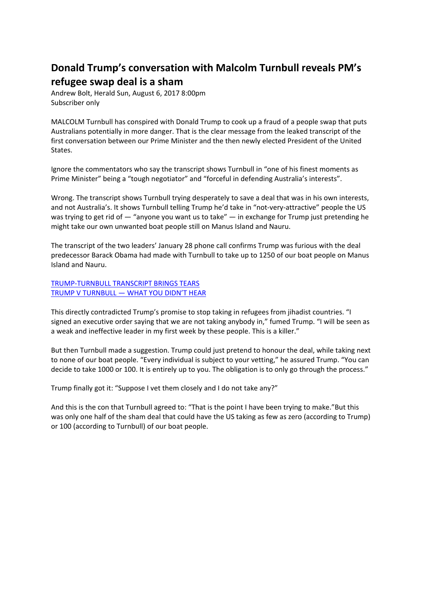## **Donald Trump's conversation with Malcolm Turnbull reveals PM's refugee swap deal is a sham**

Andrew Bolt, Herald Sun, August 6, 2017 8:00pm Subscriber only

MALCOLM Turnbull has conspired with Donald Trump to cook up a fraud of a people swap that puts Australians potentially in more danger. That is the clear message from the leaked transcript of the first conversation between our Prime Minister and the then newly elected President of the United States.

Ignore the commentators who say the transcript shows Turnbull in "one of his finest moments as Prime Minister" being a "tough negotiator" and "forceful in defending Australia's interests".

Wrong. The transcript shows Turnbull trying desperately to save a deal that was in his own interests, and not Australia's. It shows Turnbull telling Trump he'd take in "not-very-attractive" people the US was trying to get rid of  $-$  "anyone you want us to take"  $-$  in exchange for Trump just pretending he might take our own unwanted boat people still on Manus Island and Nauru.

The transcript of the two leaders' January 28 phone call confirms Trump was furious with the deal predecessor Barack Obama had made with Turnbull to take up to 1250 of our boat people on Manus Island and Nauru.

TRUMP-TURNBULL TRANSCRIPT BRINGS TEARS TRUMP V TURNBULL — WHAT YOU DIDN'T HEAR

This directly contradicted Trump's promise to stop taking in refugees from jihadist countries. "I signed an executive order saying that we are not taking anybody in," fumed Trump. "I will be seen as a weak and ineffective leader in my first week by these people. This is a killer."

But then Turnbull made a suggestion. Trump could just pretend to honour the deal, while taking next to none of our boat people. "Every individual is subject to your vetting," he assured Trump. "You can decide to take 1000 or 100. It is entirely up to you. The obligation is to only go through the process."

Trump finally got it: "Suppose I vet them closely and I do not take any?"

And this is the con that Turnbull agreed to: "That is the point I have been trying to make."But this was only one half of the sham deal that could have the US taking as few as zero (according to Trump) or 100 (according to Turnbull) of our boat people.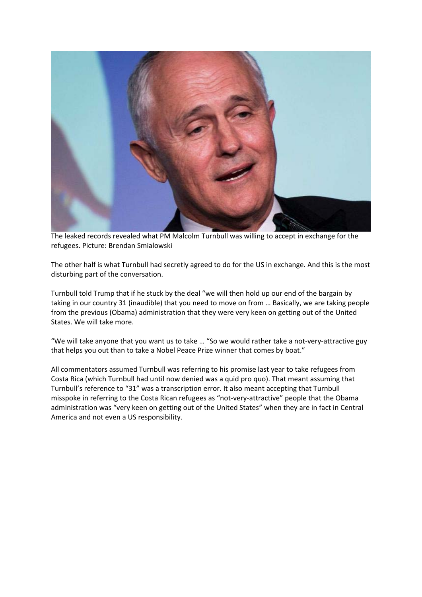

The leaked records revealed what PM Malcolm Turnbull was willing to accept in exchange for the refugees. Picture: Brendan Smialowski

The other half is what Turnbull had secretly agreed to do for the US in exchange. And this is the most disturbing part of the conversation.

Turnbull told Trump that if he stuck by the deal "we will then hold up our end of the bargain by taking in our country 31 (inaudible) that you need to move on from … Basically, we are taking people from the previous (Obama) administration that they were very keen on getting out of the United States. We will take more.

"We will take anyone that you want us to take … "So we would rather take a not-very-attractive guy that helps you out than to take a Nobel Peace Prize winner that comes by boat."

All commentators assumed Turnbull was referring to his promise last year to take refugees from Costa Rica (which Turnbull had until now denied was a quid pro quo). That meant assuming that Turnbull's reference to "31" was a transcription error. It also meant accepting that Turnbull misspoke in referring to the Costa Rican refugees as "not-very-attractive" people that the Obama administration was "very keen on getting out of the United States" when they are in fact in Central America and not even a US responsibility.